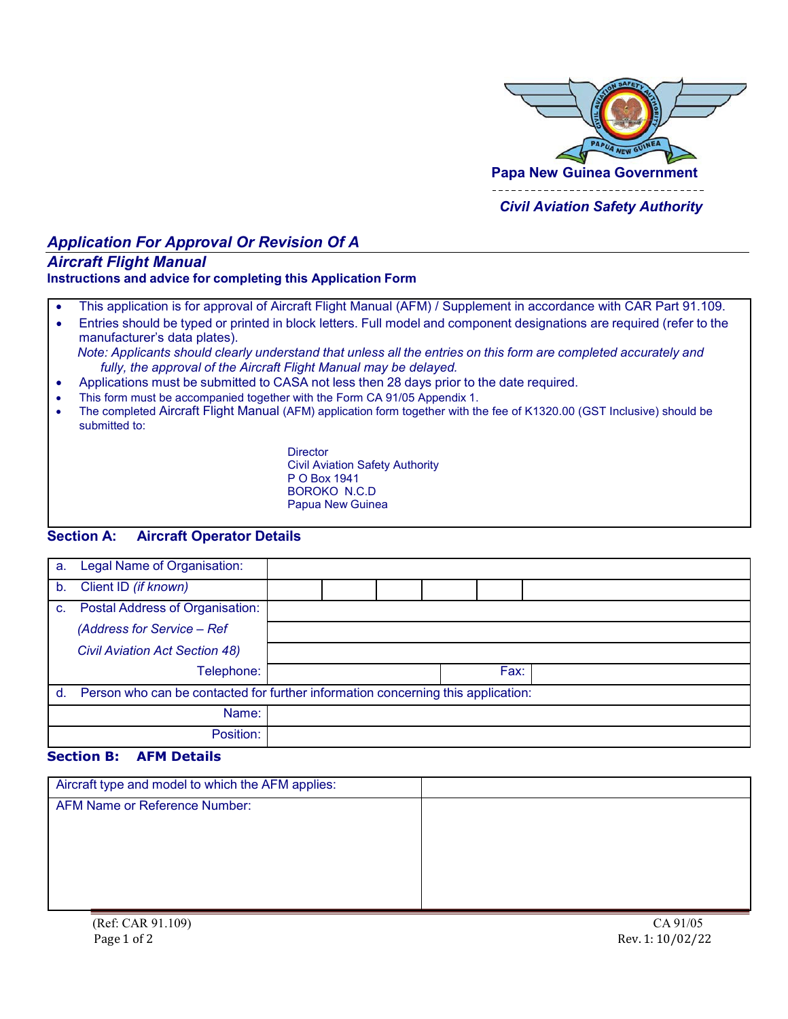

## *Civil Aviation Safety Authority*

# *Application For Approval Or Revision Of A*

## *Aircraft Flight Manual*

#### **Instructions and advice for completing this Application Form**

- This application is for approval of Aircraft Flight Manual (AFM) / Supplement in accordance with CAR Part 91.109.
- Entries should be typed or printed in block letters. Full model and component designations are required (refer to the manufacturer's data plates). Note: Applicants should clearly understand that unless all the entries on this form are completed accurately and *fully, the approval of the Aircraft Flight Manual may be delayed.*
- Applications must be submitted to CASA not less then 28 days prior to the date required.
- This form must be accompanied together with the Form CA 91/05 Appendix 1.
- The completed Aircraft Flight Manual (AFM) application form together with the fee of K1320.00 (GST Inclusive) should be submitted to:

**Director** Civil Aviation Safety Authority P O Box 1941 BOROKO N.C.D Papua New Guinea

## **Section A: Aircraft Operator Details**

| a.      | Legal Name of Organisation:                                                      |  |  |  |  |      |  |
|---------|----------------------------------------------------------------------------------|--|--|--|--|------|--|
| $b_{1}$ | Client ID (if known)                                                             |  |  |  |  |      |  |
| C.      | <b>Postal Address of Organisation:</b>                                           |  |  |  |  |      |  |
|         | (Address for Service - Ref                                                       |  |  |  |  |      |  |
|         | <b>Civil Aviation Act Section 48)</b>                                            |  |  |  |  |      |  |
|         | Telephone:                                                                       |  |  |  |  | Fax: |  |
| d.      | Person who can be contacted for further information concerning this application: |  |  |  |  |      |  |
|         | Name:                                                                            |  |  |  |  |      |  |
|         | Position:                                                                        |  |  |  |  |      |  |

#### **Section B: AFM Details**

| Aircraft type and model to which the AFM applies: |  |
|---------------------------------------------------|--|
| <b>AFM Name or Reference Number:</b>              |  |
|                                                   |  |
|                                                   |  |
|                                                   |  |
|                                                   |  |
|                                                   |  |